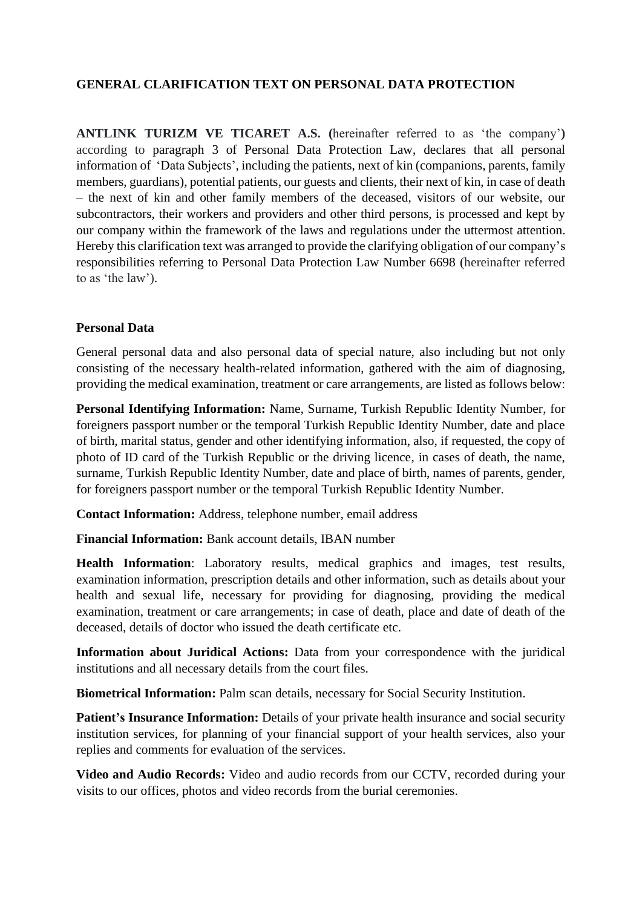# **GENERAL CLARIFICATION TEXT ON PERSONAL DATA PROTECTION**

**ANTLINK TURIZM VE TICARET A.S. (**hereinafter referred to as 'the company'**)**  according to paragraph 3 of Personal Data Protection Law, declares that all personal information of 'Data Subjects', including the patients, next of kin (companions, parents, family members, guardians), potential patients, our guests and clients, their next of kin, in case of death – the next of kin and other family members of the deceased, visitors of our website, our subcontractors, their workers and providers and other third persons, is processed and kept by our company within the framework of the laws and regulations under the uttermost attention. Hereby this clarification text was arranged to provide the clarifying obligation of our company's responsibilities referring to Personal Data Protection Law Number 6698 (hereinafter referred to as 'the law').

#### **Personal Data**

General personal data and also personal data of special nature, also including but not only consisting of the necessary health-related information, gathered with the aim of diagnosing, providing the medical examination, treatment or care arrangements, are listed as follows below:

**Personal Identifying Information:** Name, Surname, Turkish Republic Identity Number, for foreigners passport number or the temporal Turkish Republic Identity Number, date and place of birth, marital status, gender and other identifying information, also, if requested, the copy of photo of ID card of the Turkish Republic or the driving licence, in cases of death, the name, surname, Turkish Republic Identity Number, date and place of birth, names of parents, gender, for foreigners passport number or the temporal Turkish Republic Identity Number.

**Contact Information:** Address, telephone number, email address

**Financial Information:** Bank account details, IBAN number

**Health Information**: Laboratory results, medical graphics and images, test results, examination information, prescription details and other information, such as details about your health and sexual life, necessary for providing for diagnosing, providing the medical examination, treatment or care arrangements; in case of death, place and date of death of the deceased, details of doctor who issued the death certificate etc.

**Information about Juridical Actions:** Data from your correspondence with the juridical institutions and all necessary details from the court files.

**Biometrical Information:** Palm scan details, necessary for Social Security Institution.

**Patient's Insurance Information:** Details of your private health insurance and social security institution services, for planning of your financial support of your health services, also your replies and comments for evaluation of the services.

**Video and Audio Records:** Video and audio records from our CCTV, recorded during your visits to our offices, photos and video records from the burial ceremonies.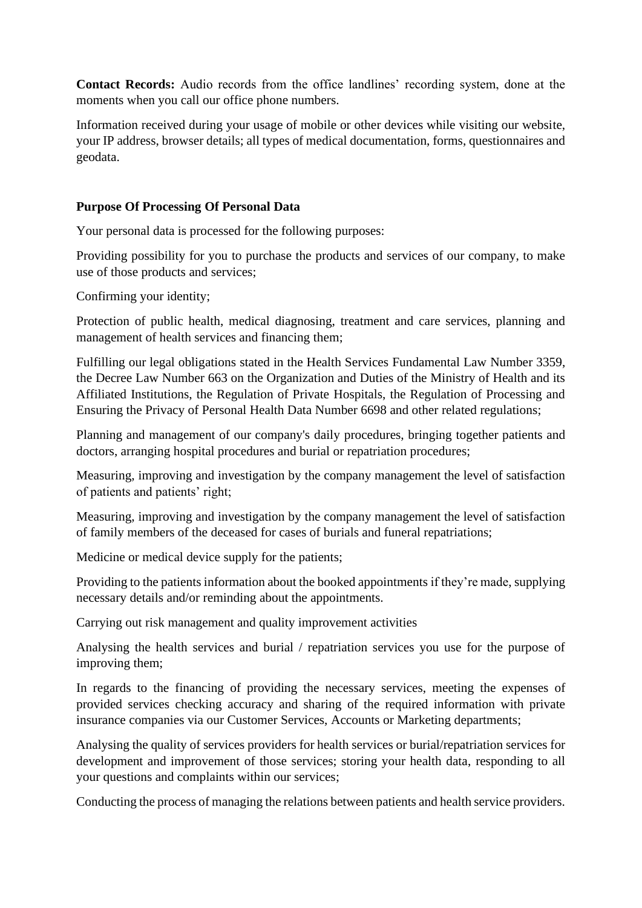**Contact Records:** Audio records from the office landlines' recording system, done at the moments when you call our office phone numbers.

Information received during your usage of mobile or other devices while visiting our website, your IP address, browser details; all types of medical documentation, forms, questionnaires and geodata.

#### **Purpose Of Processing Of Personal Data**

Your personal data is processed for the following purposes:

Providing possibility for you to purchase the products and services of our company, to make use of those products and services;

Confirming your identity;

Protection of public health, medical diagnosing, treatment and care services, planning and management of health services and financing them;

Fulfilling our legal obligations stated in the Health Services Fundamental Law Number 3359, the Decree Law Number 663 on the Organization and Duties of the Ministry of Health and its Affiliated Institutions, the Regulation of Private Hospitals, the Regulation of Processing and Ensuring the Privacy of Personal Health Data Number 6698 and other related regulations;

Planning and management of our company's daily procedures, bringing together patients and doctors, arranging hospital procedures and burial or repatriation procedures;

Measuring, improving and investigation by the company management the level of satisfaction of patients and patients' right;

Measuring, improving and investigation by the company management the level of satisfaction of family members of the deceased for cases of burials and funeral repatriations;

Medicine or medical device supply for the patients;

Providing to the patients information about the booked appointments if they're made, supplying necessary details and/or reminding about the appointments.

Carrying out risk management and quality improvement activities

Analysing the health services and burial / repatriation services you use for the purpose of improving them;

In regards to the financing of providing the necessary services, meeting the expenses of provided services checking accuracy and sharing of the required information with private insurance companies via our Customer Services, Accounts or Marketing departments;

Analysing the quality of services providers for health services or burial/repatriation services for development and improvement of those services; storing your health data, responding to all your questions and complaints within our services;

Conducting the process of managing the relations between patients and health service providers.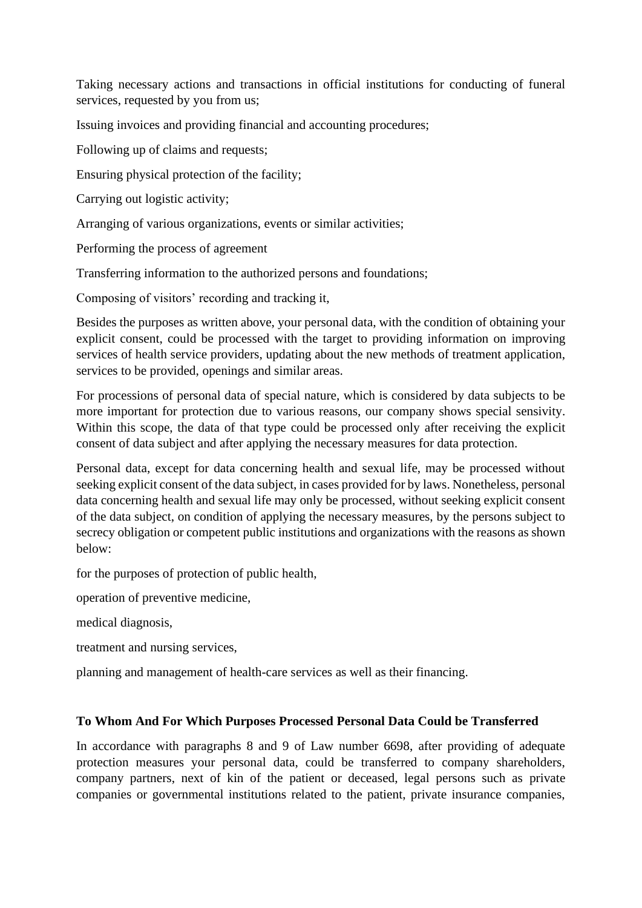Taking necessary actions and transactions in official institutions for conducting of funeral services, requested by you from us;

Issuing invoices and providing financial and accounting procedures;

Following up of claims and requests;

Ensuring physical protection of the facility;

Carrying out logistic activity;

Arranging of various organizations, events or similar activities;

Performing the process of agreement

Transferring information to the authorized persons and foundations;

Composing of visitors' recording and tracking it,

Besides the purposes as written above, your personal data, with the condition of obtaining your explicit consent, could be processed with the target to providing information on improving services of health service providers, updating about the new methods of treatment application, services to be provided, openings and similar areas.

For processions of personal data of special nature, which is considered by data subjects to be more important for protection due to various reasons, our company shows special sensivity. Within this scope, the data of that type could be processed only after receiving the explicit consent of data subject and after applying the necessary measures for data protection.

Personal data, except for data concerning health and sexual life, may be processed without seeking explicit consent of the data subject, in cases provided for by laws. Nonetheless, personal data concerning health and sexual life may only be processed, without seeking explicit consent of the data subject, on condition of applying the necessary measures, by the persons subject to secrecy obligation or competent public institutions and organizations with the reasons as shown below:

for the purposes of protection of public health,

operation of preventive medicine,

medical diagnosis,

treatment and nursing services,

planning and management of health-care services as well as their financing.

## **To Whom And For Which Purposes Processed Personal Data Could be Transferred**

In accordance with paragraphs 8 and 9 of Law number 6698, after providing of adequate protection measures your personal data, could be transferred to company shareholders, company partners, next of kin of the patient or deceased, legal persons such as private companies or governmental institutions related to the patient, private insurance companies,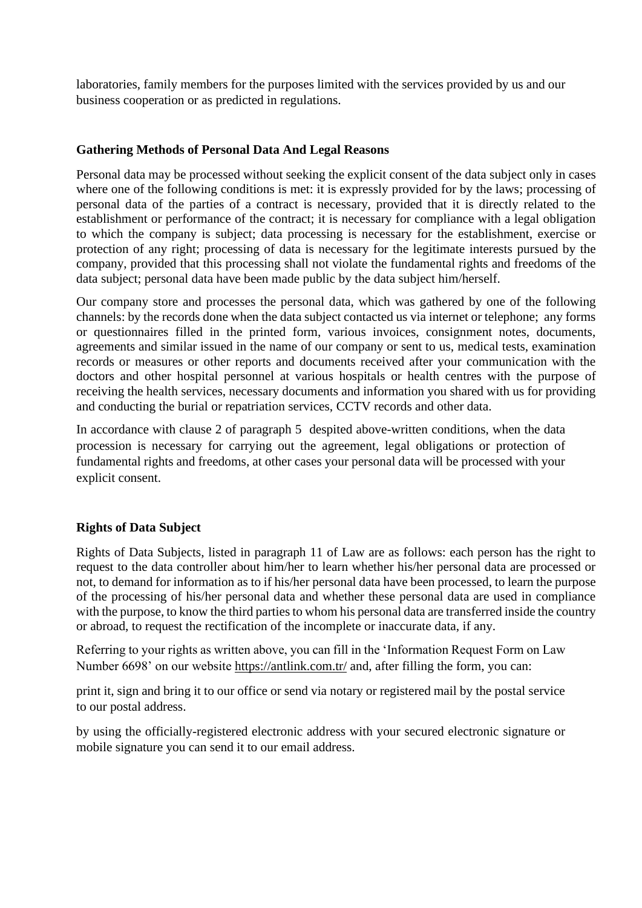laboratories, family members for the purposes limited with the services provided by us and our business cooperation or as predicted in regulations.

# **Gathering Methods of Personal Data And Legal Reasons**

Personal data may be processed without seeking the explicit consent of the data subject only in cases where one of the following conditions is met: it is expressly provided for by the laws; processing of personal data of the parties of a contract is necessary, provided that it is directly related to the establishment or performance of the contract; it is necessary for compliance with a legal obligation to which the company is subject; data processing is necessary for the establishment, exercise or protection of any right; processing of data is necessary for the legitimate interests pursued by the company, provided that this processing shall not violate the fundamental rights and freedoms of the data subject; personal data have been made public by the data subject him/herself.

Our company store and processes the personal data, which was gathered by one of the following channels: by the records done when the data subject contacted us via internet or telephone; any forms or questionnaires filled in the printed form, various invoices, consignment notes, documents, agreements and similar issued in the name of our company or sent to us, medical tests, examination records or measures or other reports and documents received after your communication with the doctors and other hospital personnel at various hospitals or health centres with the purpose of receiving the health services, necessary documents and information you shared with us for providing and conducting the burial or repatriation services, CCTV records and other data.

In accordance with clause 2 of paragraph 5 despited above-written conditions, when the data procession is necessary for carrying out the agreement, legal obligations or protection of fundamental rights and freedoms, at other cases your personal data will be processed with your explicit consent.

## **Rights of Data Subject**

Rights of Data Subjects, listed in paragraph 11 of Law are as follows: each person has the right to request to the data controller about him/her to learn whether his/her personal data are processed or not, to demand for information as to if his/her personal data have been processed, to learn the purpose of the processing of his/her personal data and whether these personal data are used in compliance with the purpose, to know the third parties to whom his personal data are transferred inside the country or abroad, to request the rectification of the incomplete or inaccurate data, if any.

Referring to your rights as written above, you can fill in the 'Information Request Form on Law Number 6698' on our website<https://antlink.com.tr/> and, after filling the form, you can:

print it, sign and bring it to our office or send via notary or registered mail by the postal service to our postal address.

by using the officially-registered electronic address with your secured electronic signature or mobile signature you can send it to our email address.